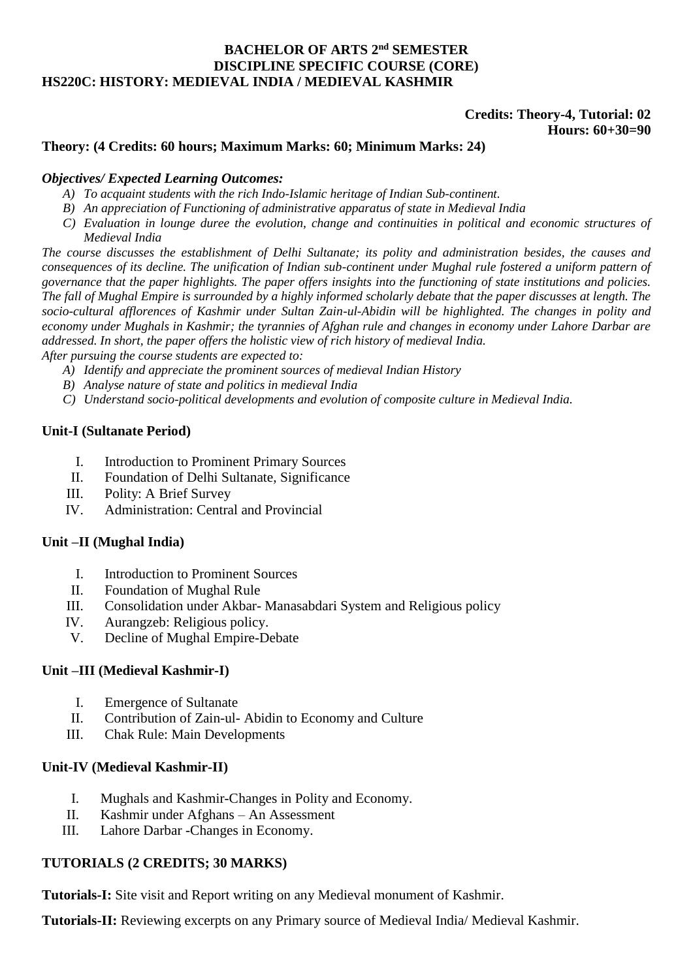## **BACHELOR OF ARTS 2<sup>nd</sup> SEMESTER DISCIPLINE SPECIFIC COURSE (CORE) HS220C: HISTORY: MEDIEVAL INDIA / MEDIEVAL KASHMIR**

# **Credits: Theory-4, Tutorial: 02 Hours: 60+30=90**

## **Theory: (4 Credits: 60 hours; Maximum Marks: 60; Minimum Marks: 24)**

#### *Objectives/ Expected Learning Outcomes:*

- *A) To acquaint students with the rich Indo-Islamic heritage of Indian Sub-continent.*
- *B) An appreciation of Functioning of administrative apparatus of state in Medieval India*
- *C) Evaluation in lounge duree the evolution, change and continuities in political and economic structures of Medieval India*

*The course discusses the establishment of Delhi Sultanate; its polity and administration besides, the causes and consequences of its decline. The unification of Indian sub-continent under Mughal rule fostered a uniform pattern of governance that the paper highlights. The paper offers insights into the functioning of state institutions and policies. The fall of Mughal Empire is surrounded by a highly informed scholarly debate that the paper discusses at length. The socio-cultural afflorences of Kashmir under Sultan Zain-ul-Abidin will be highlighted. The changes in polity and economy under Mughals in Kashmir; the tyrannies of Afghan rule and changes in economy under Lahore Darbar are addressed. In short, the paper offers the holistic view of rich history of medieval India.*

*After pursuing the course students are expected to:*

- *A) Identify and appreciate the prominent sources of medieval Indian History*
- *B) Analyse nature of state and politics in medieval India*
- *C) Understand socio-political developments and evolution of composite culture in Medieval India.*

## **Unit-I (Sultanate Period)**

- I. Introduction to Prominent Primary Sources
- II. Foundation of Delhi Sultanate, Significance
- III. Polity: A Brief Survey
- IV. Administration: Central and Provincial

#### **Unit –II (Mughal India)**

- I. Introduction to Prominent Sources
- II. Foundation of Mughal Rule
- III. Consolidation under Akbar- Manasabdari System and Religious policy
- IV. Aurangzeb: Religious policy.
- V. Decline of Mughal Empire-Debate

#### **Unit –III (Medieval Kashmir-I)**

- I. Emergence of Sultanate
- II. Contribution of Zain-ul- Abidin to Economy and Culture
- III. Chak Rule: Main Developments

#### **Unit-IV (Medieval Kashmir-II)**

- I. Mughals and Kashmir-Changes in Polity and Economy.
- II. Kashmir under Afghans An Assessment
- III. Lahore Darbar -Changes in Economy.

# **TUTORIALS (2 CREDITS; 30 MARKS)**

**Tutorials-I:** Site visit and Report writing on any Medieval monument of Kashmir.

**Tutorials-II:** Reviewing excerpts on any Primary source of Medieval India/ Medieval Kashmir.